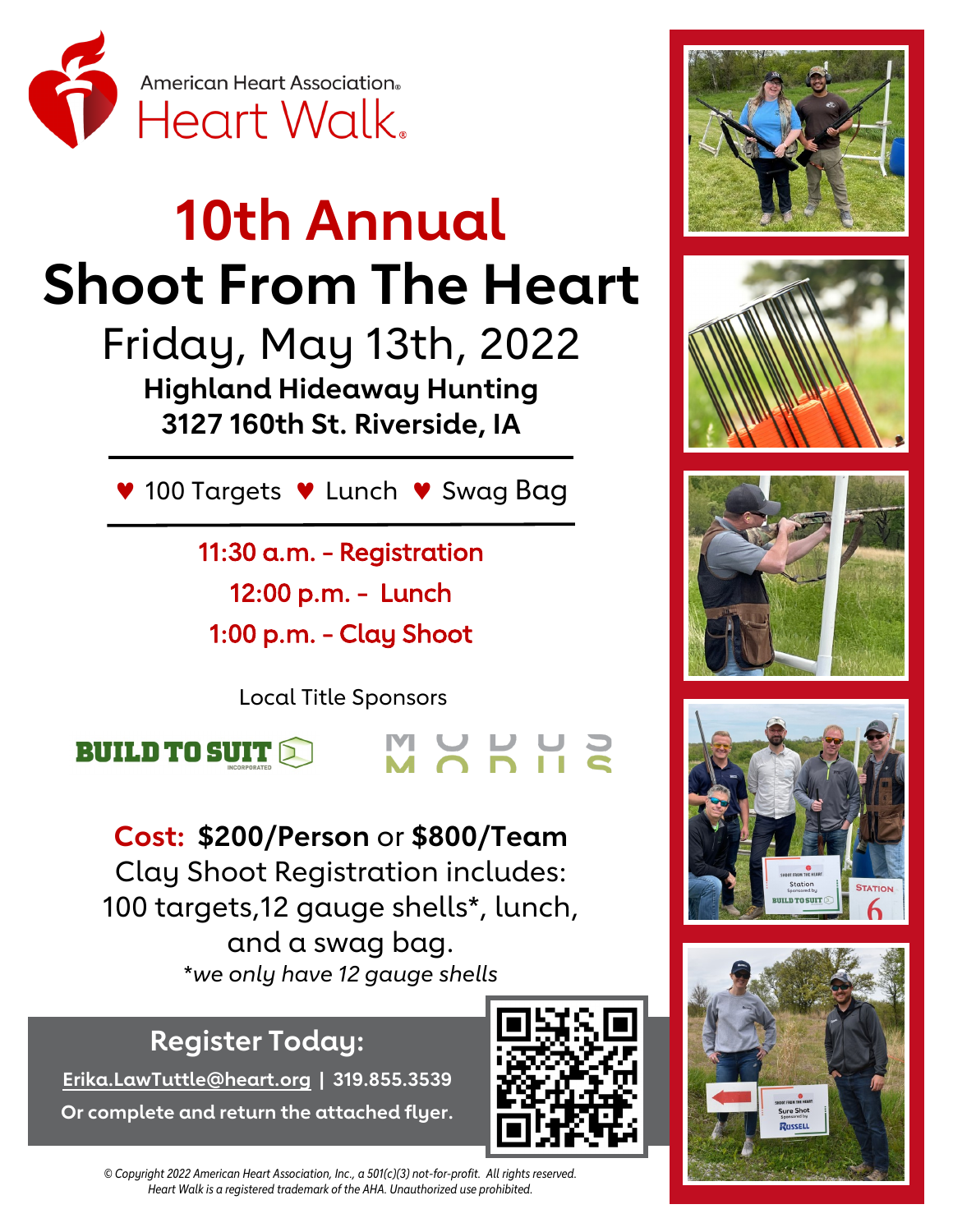

## **10th Annual Shoot From The Heart**

Friday, May 13th, 2022 **Highland Hideaway Hunting 3127 160th St. Riverside, IA**

V 100 Targets V Lunch V Swag Bag

11:30 a.m. - Registration 12:00 p.m. - Lunch 1:00 p.m. - Clay Shoot

Local Title Sponsors

MUUUU



**Cost: \$200/Person** or **\$800/Team** Clay Shoot Registration includes: 100 targets,12 gauge shells\*, lunch, and a swag bag. \**we only have 12 gauge shells*

## **Register Today:**

**[Erika.LawTuttle@heart.org](mailto:Erika.LawTuttle@heart.org?subject=Iowa%20City%20Clay%20Shoot) | 319.855.3539 Or complete and return the attached flyer.**